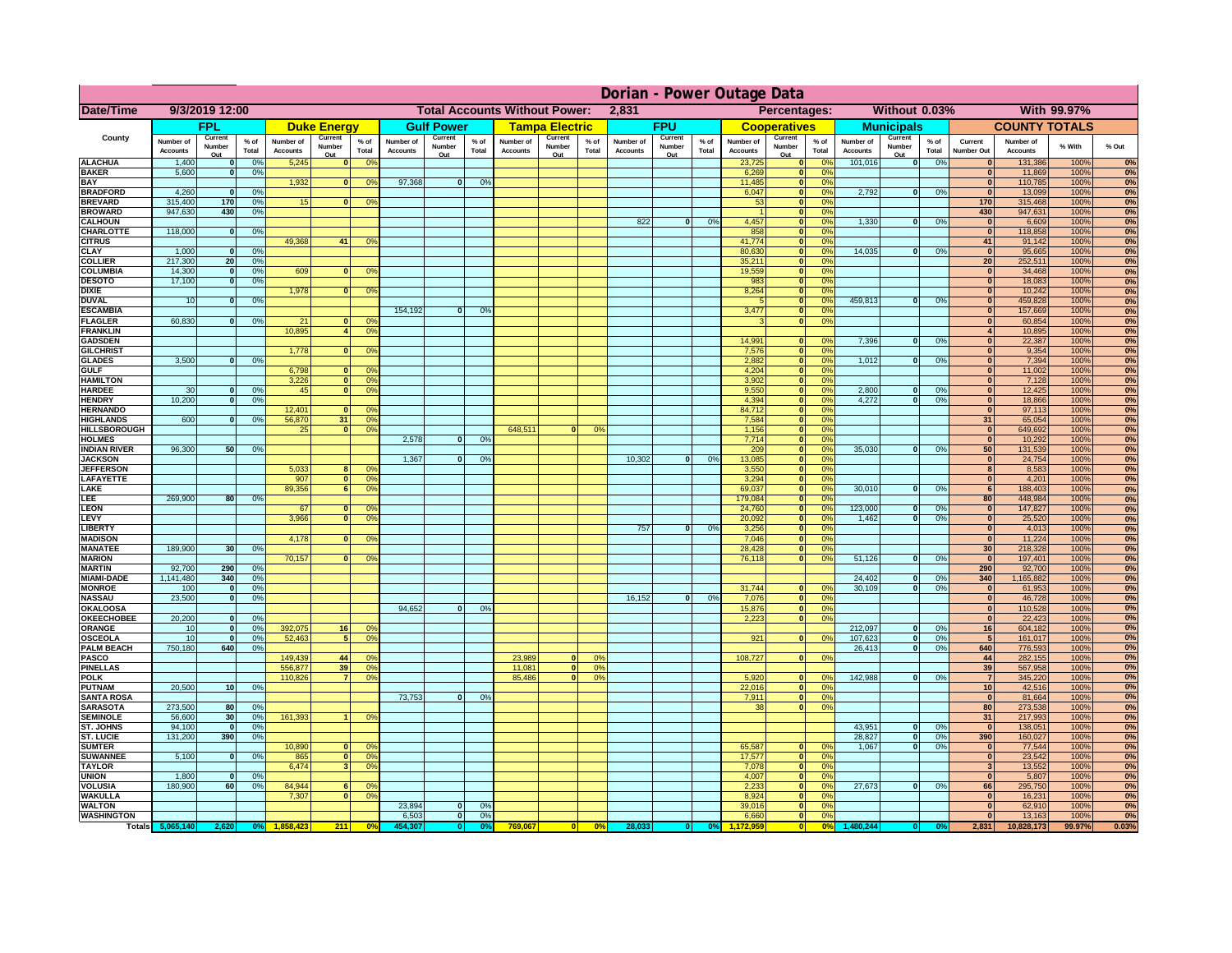|                                      | Dorian - Power Outage Data   |                                 |                      |                              |                                 |                                                                |                              |                          |                 |                                              |                          |                      |                              |                          |               |                              |                                      |                               |                              |                          |               |                                  |                              |              |          |
|--------------------------------------|------------------------------|---------------------------------|----------------------|------------------------------|---------------------------------|----------------------------------------------------------------|------------------------------|--------------------------|-----------------|----------------------------------------------|--------------------------|----------------------|------------------------------|--------------------------|---------------|------------------------------|--------------------------------------|-------------------------------|------------------------------|--------------------------|---------------|----------------------------------|------------------------------|--------------|----------|
| Date/Time                            | 9/3/2019 12:00               |                                 |                      |                              |                                 | <b>Total Accounts Without Power:</b><br>2,831                  |                              |                          |                 | Percentages:<br>Without 0.03%<br>With 99.97% |                          |                      |                              |                          |               |                              |                                      |                               |                              |                          |               |                                  |                              |              |          |
|                                      |                              | <b>FPL</b>                      |                      |                              | <b>Duke Energy</b>              |                                                                |                              | <b>Gulf Power</b>        |                 |                                              | <b>Tampa Electric</b>    |                      |                              | <b>FPU</b>               |               |                              | <b>Cooperatives</b>                  |                               |                              | <b>Municipals</b>        |               |                                  | <b>COUNTY TOTALS</b>         |              |          |
| County                               | Number of<br><b>Accounts</b> | Current<br>Number<br>Out        | $%$ of<br>Total      | Number of<br><b>Accounts</b> | Current<br><b>Number</b><br>Out | $%$ of<br>Total                                                | Number of<br><b>Accounts</b> | Current<br>Number<br>Out | $%$ of<br>Total | Number of<br><b>Accounts</b>                 | Current<br>Number<br>Out | % of<br>Total        | Number of<br><b>Accounts</b> | Current<br>Number<br>Out | % of<br>Total | Number of<br><b>Accounts</b> | Current<br>Number<br>Out             | $%$ of<br>Total               | Number of<br><b>Accounts</b> | Current<br>Number<br>Out | % of<br>Total | Current<br><b>Number Out</b>     | Number of<br><b>Accounts</b> | % With       | % Out    |
| <b>ALACHUA</b>                       | 1,400                        |                                 | 0 <sup>9</sup>       | 5,245                        | $\bf{0}$                        | 0 <sup>9</sup>                                                 |                              |                          |                 |                                              |                          |                      |                              |                          |               | 23,725                       | $\mathbf 0$                          | 0%                            | 101,016                      | $\mathbf{0}$             | 0%            |                                  | 131,386                      | 100%         | 0%       |
| <b>BAKER</b><br><b>BAY</b>           | 5,600                        |                                 | 0 <sup>9</sup>       | 1,932                        | $\bf{0}$                        | 0 <sup>9</sup>                                                 | 97,368                       | $\bf{0}$                 | 0%              |                                              |                          |                      |                              |                          |               | 6,269<br>11,485              | $\mathbf{0}$<br>$\mathbf{0}$         | 0%<br>0 <sup>9</sup>          |                              |                          |               | $\bf{0}$<br>$\mathbf{0}$         | 11,869<br>110,785            | 100%<br>100% | 0%<br>0% |
| <b>BRADFORD</b>                      | 4,260                        |                                 | 0 <sup>9</sup>       |                              |                                 |                                                                |                              |                          |                 |                                              |                          |                      |                              |                          |               | 6,047                        | $\mathbf{0}$                         | 0%                            | 2,792                        | 0                        | 0%            | $\bf{0}$                         | 13,099                       | 100%         | 0%       |
| <b>BREVARD</b>                       | 315,400                      | 170                             | 0 <sup>9</sup>       | 15                           |                                 | 0 <sup>9</sup>                                                 |                              |                          |                 |                                              |                          |                      |                              |                          |               | 53                           | $\mathbf{0}$                         | 0%                            |                              |                          |               | 170                              | 315,468                      | 100%         | 0%       |
| <b>BROWARD</b>                       | 947,630                      | 430                             | 0 <sup>9</sup>       |                              |                                 |                                                                |                              |                          |                 |                                              |                          |                      |                              |                          |               |                              | ō                                    | 0%                            |                              |                          |               | 430                              | 947,631                      | 100%         | 0%       |
| <b>CALHOUN</b><br><b>CHARLOTTE</b>   | 118,000                      | $\Omega$                        | 0%                   |                              |                                 |                                                                |                              |                          |                 |                                              |                          |                      | 822                          | $\mathbf{0}$             | 0%            | 4,457<br>858                 | $\mathbf{0}$<br>$\mathbf{0}$         | 0%<br>0%                      | 1,330                        | o                        | 0%            | $\mathbf{0}$<br>$\Omega$         | 6,609<br>118,858             | 100%<br>100% | 0%<br>0% |
| <b>CITRUS</b>                        |                              |                                 |                      | 49.368                       | 41                              | 0 <sup>9</sup>                                                 |                              |                          |                 |                                              |                          |                      |                              |                          |               | 41,774                       | $\mathbf{0}$                         | 0%                            |                              |                          |               | 41                               | 91,142                       | 100%         | 0%       |
| <b>CLAY</b>                          | 1,000                        | $\mathbf{r}$                    | 0 <sup>9</sup>       |                              |                                 |                                                                |                              |                          |                 |                                              |                          |                      |                              |                          |               | 80,630                       | $\bullet$                            | 0%                            | 14,035                       | 0                        | 0%            | $\Omega$                         | 95,665                       | 100%         | 0%       |
| <b>COLLIER</b>                       | 217,300                      | 20                              | 0 <sup>9</sup>       |                              |                                 |                                                                |                              |                          |                 |                                              |                          |                      |                              |                          |               | 35,211                       | $\bullet$                            | 0%                            |                              |                          |               | 20 <sup>°</sup>                  | 252,511                      | 100%         | 0%       |
| <b>COLUMBIA</b><br><b>DESOTO</b>     | 14,300<br>17,100             | $\Omega$<br>$\Omega$            | 0%<br>0%             | 609                          | $\Omega$                        | 0 <sup>9</sup>                                                 |                              |                          |                 |                                              |                          |                      |                              |                          |               | 19,559<br>983                | $\overline{\mathbf{0}}$<br>$\bullet$ | 0%<br>0%                      |                              |                          |               | $\Omega$<br> 0                   | 34,468<br>18,083             | 100%<br>100% | 0%<br>0% |
| <b>DIXIE</b>                         |                              |                                 |                      | 1,978                        |                                 | 0 <sup>9</sup><br>$\mathbf{0}$                                 |                              |                          |                 |                                              |                          |                      |                              |                          |               | 8,264                        | $\bullet$                            | 0%                            |                              |                          |               | 0                                | 10,242                       | 100%         | 0%       |
| <b>DUVAL</b>                         | 10                           | $\Omega$                        | 0%                   |                              |                                 |                                                                |                              |                          |                 |                                              |                          |                      |                              |                          |               |                              |                                      | $\overline{\mathbf{0}}$<br>0% | 459.813                      | 0                        | 0%            | $\overline{0}$                   | 459,828                      | 100%         | 0%       |
| <b>ESCAMBIA</b>                      |                              |                                 |                      |                              |                                 |                                                                | 154,192                      | $\mathbf{0}$             | 0%              |                                              |                          |                      |                              |                          |               | 3,477                        |                                      | $\overline{\mathbf{0}}$<br>0% |                              |                          |               | $\overline{0}$                   | 157,669                      | 100%         | 0%       |
| <b>FLAGLER</b><br><b>FRANKLIN</b>    | 60.830                       | $\Omega$                        | 0%                   | 21<br>10.895                 |                                 | 0 <sup>9</sup><br>$\Omega$<br>$\overline{4}$<br>0 <sup>9</sup> |                              |                          |                 |                                              |                          |                      |                              |                          |               | 3                            |                                      | $\overline{\mathbf{0}}$<br>0% |                              |                          |               | $\overline{0}$<br>$\overline{4}$ | 60,854                       | 100%<br>100% | 0%       |
| <b>GADSDEN</b>                       |                              |                                 |                      |                              |                                 |                                                                |                              |                          |                 |                                              |                          |                      |                              |                          |               | 14.991                       | $\Omega$                             | $\Omega$ <sup>o</sup>         | 7.396                        | $\mathbf{0}$             | 0%            | $\overline{0}$                   | 10,895<br>22,387             | 100%         | 0%<br>0% |
| <b>GILCHRIST</b>                     |                              |                                 |                      | 1,778                        |                                 | <sub>0</sub><br>0 <sup>9</sup>                                 |                              |                          |                 |                                              |                          |                      |                              |                          |               | 7,576                        |                                      | 0 <br>0%                      |                              |                          |               | 0                                | 9,354                        | 100%         | 0%       |
| <b>GLADES</b>                        | 3,500                        |                                 | 0 <sup>9</sup>       |                              |                                 |                                                                |                              |                          |                 |                                              |                          |                      |                              |                          |               | 2,882                        |                                      | 0 <br>0%                      | 1,012                        | $\mathbf{0}$             | 0%            | $\mathbf{0}$                     | 7,394                        | 100%         | 0%       |
| <b>GULF</b>                          |                              |                                 |                      | 6,798                        |                                 | $\mathbf{0}$<br>0 <sup>9</sup>                                 |                              |                          |                 |                                              |                          |                      |                              |                          |               | 4,204                        |                                      | 0 <br>0%                      |                              |                          |               | 0                                | 11,002                       | 100%         | 0%       |
| <b>HAMILTON</b><br><b>HARDEE</b>     | 30                           |                                 | 0%                   | 3,226<br>45                  |                                 | $\mathbf{0}$<br>0 <sup>9</sup><br>$\overline{0}$<br>0%         |                              |                          |                 |                                              |                          |                      |                              |                          |               | 3,902<br>9,550               |                                      | 0 <br>0%<br> 0 <br>0%         | 2,800                        | $\bf{0}$                 | 0%            | 0 <br> 0                         | 7,128<br>12,425              | 100%<br>100% | 0%<br>0% |
| <b>HENDRY</b>                        | 10,200                       | $\Omega$                        | 0%                   |                              |                                 |                                                                |                              |                          |                 |                                              |                          |                      |                              |                          |               | 4,394                        |                                      | 0 <br>0%                      | 4,272                        | $\overline{0}$           | 0%            | 0                                | 18,866                       | 100%         | 0%       |
| <b>HERNANDO</b>                      |                              |                                 |                      | 12,401                       | $\mathbf{0}$                    | O <sup>9</sup>                                                 |                              |                          |                 |                                              |                          |                      |                              |                          |               | 84,712                       |                                      | 0 <br>0%                      |                              |                          |               | 0                                | 97,113                       | 100%         | 0%       |
| <b>HIGHLANDS</b>                     | 600                          |                                 | 0%                   | 56,870                       | 31                              | 0%                                                             |                              |                          |                 |                                              |                          |                      |                              |                          |               | 7,584                        |                                      | 0 <br>0%                      |                              |                          |               | 31                               | 65,054                       | 100%         | 0%       |
| <b>HILLSBOROUGH</b>                  |                              |                                 |                      | 25                           |                                 | 0 <br>0%                                                       |                              |                          |                 | 648,511                                      | $\Omega$                 | 0 <sup>9</sup>       |                              |                          |               | 1,156                        |                                      | 0 <br>0%                      |                              |                          |               | 0                                | 649,692                      | 100%         | 0%       |
| <b>HOLMES</b><br><b>INDIAN RIVER</b> | 96,300                       | 50                              | 0%                   |                              |                                 |                                                                | 2.578                        | $\mathbf{0}$             | 0%              |                                              |                          |                      |                              |                          |               | 7,714<br>209                 |                                      | 0 <br>0%<br> 0 <br>0%         | 35,030                       | $\mathbf{0}$             | 0%            | 0 <br>50                         | 10,292<br>131,539            | 100%<br>100% | 0%<br>0% |
| <b>JACKSON</b>                       |                              |                                 |                      |                              |                                 |                                                                | 1,367                        | $\mathbf{0}$             | $0^{\circ}$     |                                              |                          |                      | 10,302                       | 0                        | 0%            | 13,085                       |                                      | 0 <br>0%                      |                              |                          |               | 0                                | 24,754                       | 100%         | 0%       |
| <b>JEFFERSON</b>                     |                              |                                 |                      | 5,033                        | 8                               | 0 <sup>9</sup>                                                 |                              |                          |                 |                                              |                          |                      |                              |                          |               | 3,550                        |                                      | 0 <br>0%                      |                              |                          |               | 8 <sup>1</sup>                   | 8,583                        | 100%         | 0%       |
| LAFAYETTE                            |                              |                                 |                      | 907                          |                                 | 0 <br>0 <sup>9</sup>                                           |                              |                          |                 |                                              |                          |                      |                              |                          |               | 3,294                        |                                      | 0 <br>0%                      |                              |                          |               | 0                                | 4,201                        | 100%         | 0%       |
| LAKE                                 |                              |                                 |                      | 89,356                       |                                 | 6 <br>0 <sup>9</sup>                                           |                              |                          |                 |                                              |                          |                      |                              |                          |               | 69,037                       |                                      | 0 <br>0%                      | 30,010                       | $\mathbf{0}$             | 0%            | 6                                | 188,403                      | 100%         | 0%       |
| LEE<br><b>LEON</b>                   | 269,900                      | 80                              | 0%                   | 67                           | 0                               | $^{\circ}$                                                     |                              |                          |                 |                                              |                          |                      |                              |                          |               | 179,084<br>24,760            |                                      | 0 <br>0%<br> 0 <br>0%         | 123,000                      | $\Omega$                 | 0%            | 80<br> 0                         | 448,984<br>147,827           | 100%<br>100% | 0%<br>0% |
| <b>LEVY</b>                          |                              |                                 |                      | 3,966                        |                                 | $\Omega$<br>0 <sup>o</sup>                                     |                              |                          |                 |                                              |                          |                      |                              |                          |               | 20,092                       |                                      | 0 <br>0%                      | 1,462                        | $\Omega$                 | 0%            | 0                                | 25,520                       | 100%         | 0%       |
| <b>LIBERTY</b>                       |                              |                                 |                      |                              |                                 |                                                                |                              |                          |                 |                                              |                          |                      | 757                          | $\mathbf{0}$             | 0%            | 3,256                        |                                      | 0%<br> 0                      |                              |                          |               | 0                                | 4,013                        | 100%         | 0%       |
| <b>MADISON</b>                       |                              |                                 |                      | 4,178                        | 0                               | 0°                                                             |                              |                          |                 |                                              |                          |                      |                              |                          |               | 7,046                        |                                      | 0%<br> 0                      |                              |                          |               | $\Omega$                         | 11,224                       | 100%         | 0%       |
| <b>MANATEE</b><br><b>MARION</b>      | 189,900                      | 30                              | 0%                   | 70,157                       |                                 | ΩI<br>0 <sup>9</sup>                                           |                              |                          |                 |                                              |                          |                      |                              |                          |               | 28,428<br>76,118             |                                      | 0%<br> 0 <br> 0 <br>0%        | 51,126                       | 0                        | 0%            | 30 <sup>1</sup><br> 0            | 218,328<br>197,401           | 100%<br>100% | 0%<br>0% |
| <b>MARTIN</b>                        | 92,700                       | 290                             | 0%                   |                              |                                 |                                                                |                              |                          |                 |                                              |                          |                      |                              |                          |               |                              |                                      |                               |                              |                          |               | 290                              | 92,700                       | 100%         | 0%       |
| <b>MIAMI-DADE</b>                    | 1,141,480                    | 340                             | 0%                   |                              |                                 |                                                                |                              |                          |                 |                                              |                          |                      |                              |                          |               |                              |                                      |                               | 24,402                       | 0                        | 0%            | 340                              | 1,165,882                    | 100%         | 0%       |
| <b>MONROE</b>                        | 100                          | $\Omega$                        | 0%                   |                              |                                 |                                                                |                              |                          |                 |                                              |                          |                      |                              |                          |               | 31,744                       |                                      | 0 <br>$\Omega$ %              | 30,109                       | -ol                      | 0%            | 0                                | 61,953                       | 100%         | 0%       |
| <b>NASSAU</b>                        | 23,500                       | $\Omega$                        | 0%                   |                              |                                 |                                                                |                              |                          |                 |                                              |                          |                      | 16,152                       | 0                        | 0%            | 7,076                        |                                      | 0%<br> 0                      |                              |                          |               | 0                                | 46,728                       | 100%         | 0%       |
| OKALOOSA<br><b>OKEECHOBEE</b>        | 20,200                       |                                 | 0 <sup>9</sup>       |                              |                                 |                                                                | 94,652                       | $\bf{0}$                 | 0%              |                                              |                          |                      |                              |                          |               | 15,876<br>2,223              |                                      | 0 <br>0%<br>0%<br> 0          |                              |                          |               | 0 <br> 0                         | 110,528<br>22,423            | 100%<br>100% | 0%<br>0% |
| ORANGE                               | 10                           | $\mathbf{0}$                    | 0 <sup>9</sup>       | 392,075                      | 16                              | 0 <sup>6</sup>                                                 |                              |                          |                 |                                              |                          |                      |                              |                          |               |                              |                                      |                               | 212,097                      | o                        | 0%            | 16                               | 604,182                      | 100%         | 0%       |
| <b>OSCEOLA</b>                       | 10                           | $\Omega$                        | 0 <sup>9</sup>       | 52,463                       | 51                              | 0 <sup>9</sup>                                                 |                              |                          |                 |                                              |                          |                      |                              |                          |               | 921                          |                                      | 0 <br>0%                      | 107,623                      | 0                        | 0%            | - 5                              | 161,017                      | 100%         | 0%       |
| <b>PALM BEACH</b>                    | 750,180                      | 640                             | 0%                   |                              |                                 |                                                                |                              |                          |                 |                                              |                          |                      |                              |                          |               |                              |                                      |                               | 26,413                       | 0                        | 0%            | 640                              | 776,593                      | 100%         | 0%       |
| PASCO<br><b>PINELLAS</b>             |                              |                                 |                      | 149,439                      | 44<br>39                        | 0 <sup>9</sup><br>0 <sup>9</sup>                               |                              |                          |                 | 23,989                                       | $\mathbf{0}$             | 0 <sup>9</sup><br>0% |                              |                          |               | 108,727                      |                                      | 0 <br>0%                      |                              |                          |               | 44                               | 282,155                      | 100%         | 0%       |
| <b>POLK</b>                          |                              |                                 |                      | 556,877<br>110,826           | $\overline{7}$                  | 0%                                                             |                              |                          |                 | 11,081<br>85,486                             | 0 <br>$\overline{0}$     | 0%                   |                              |                          |               | 5,920                        |                                      | 0 <br>0 <sup>9</sup>          | 142,988                      | 0                        | 0%            | 39<br>$\overline{7}$             | 567,958<br>345,220           | 100%<br>100% | 0%<br>0% |
| <b>PUTNAM</b>                        | 20,500                       | 10 <sup>1</sup>                 | 0%                   |                              |                                 |                                                                |                              |                          |                 |                                              |                          |                      |                              |                          |               | 22,016                       |                                      | 0 <br>0%                      |                              |                          |               | 10 <sup>1</sup>                  | 42,516                       | 100%         | 0%       |
| <b>SANTA ROSA</b>                    |                              |                                 |                      |                              |                                 |                                                                | 73,753                       | $\mathbf{0}$             | 0%              |                                              |                          |                      |                              |                          |               | 7,911                        |                                      | 0 <br>0%                      |                              |                          |               | 0                                | 81,664                       | 100%         | 0%       |
| <b>SARASOTA</b>                      | 273,500                      | 80                              | 0%                   |                              |                                 |                                                                |                              |                          |                 |                                              |                          |                      |                              |                          |               | 38                           |                                      | $\overline{0}$<br>0%          |                              |                          |               | 80                               | 273,538                      | 100%         | 0%       |
| <b>SEMINOLE</b><br>ST. JOHNS         | 56,600<br>94.100             | 30 <sup>1</sup><br>$\mathbf{0}$ | 0%<br>0%             | 161,393                      |                                 | 0%<br>11                                                       |                              |                          |                 |                                              |                          |                      |                              |                          |               |                              |                                      |                               | 43.951                       | - O I                    | 0%            | 31<br> 0                         | 217,993<br>138,051           | 100%<br>100% | 0%<br>0% |
| <b>ST. LUCIE</b>                     | 131.200                      | 390                             | 0%                   |                              |                                 |                                                                |                              |                          |                 |                                              |                          |                      |                              |                          |               |                              |                                      |                               | 28.827                       | - O I                    | 0%            | 390                              | 160.027                      | 100%         | 0%       |
| <b>SUMTER</b>                        |                              |                                 |                      | 10,890                       |                                 | $\mathbf{0}$<br>$\Omega$                                       |                              |                          |                 |                                              |                          |                      |                              |                          |               | 65,587                       | $\mathbf{0}$                         | 0%                            | 1,067                        | 0                        | 0%            | 0                                | 77,544                       | 100%         | 0%       |
| <b>SUWANNEE</b>                      | 5,100                        | $\Omega$                        | 0%                   | 865                          |                                 | 0 <sup>9</sup><br> 0                                           |                              |                          |                 |                                              |                          |                      |                              |                          |               | 17,577                       |                                      | 0 <br>0%                      |                              |                          |               | 0                                | 23,542                       | 100%         | 0%       |
| <b>TAYLOR</b>                        |                              |                                 |                      | 6,474                        | 3                               | 0 <sup>9</sup>                                                 |                              |                          |                 |                                              |                          |                      |                              |                          |               | 7,078                        |                                      | 0 <br>0%                      |                              |                          |               | 3                                | 13,552                       | 100%         | 0%       |
| <b>UNION</b><br><b>VOLUSIA</b>       | 1,800<br>180,900             | 60                              | 0 <sup>9</sup><br>0% | 84,944                       | 6                               | 0 <sup>6</sup>                                                 |                              |                          |                 |                                              |                          |                      |                              |                          |               | 4,007                        | $\mathbf 0$                          | 0 <sup>9</sup><br> 0 <br>0%   | 27,673                       | 0                        | 0%            | 0 <br>66                         | 5,807<br>295,750             | 100%<br>100% | 0%<br>0% |
| <b>WAKULLA</b>                       |                              |                                 |                      | 7,307                        | $\mathbf{0}$                    | 0 <sup>9</sup>                                                 |                              |                          |                 |                                              |                          |                      |                              |                          |               | 2,233<br>8,924               |                                      | 0 <br>0%                      |                              |                          |               | $\bf{0}$                         | 16,231                       | 100%         | 0%       |
| <b>WALTON</b>                        |                              |                                 |                      |                              |                                 |                                                                | 23,894                       | $\mathbf{0}$             | 0%              |                                              |                          |                      |                              |                          |               | 39,016                       |                                      | 0 <br>0%                      |                              |                          |               | $\mathbf{0}$                     | 62,910                       | 100%         | 0%       |
| <b>WASHINGTON</b>                    |                              |                                 |                      |                              |                                 |                                                                | 6,503                        | 0                        | 0%              |                                              |                          |                      |                              |                          |               | 6,660                        |                                      | 0 <br>0%                      |                              |                          |               | $\mathbf{0}$                     | 13,163                       | 100%         | 0%       |
|                                      | Totals 5,065,140             | 2,620                           | 0 <sup>o</sup>       |                              | 211                             | 0 <sup>o</sup>                                                 | 154.30                       |                          | 0°              | 769,067                                      |                          | 0%                   | 28,03                        | $\mathbf{0}$             |               |                              |                                      | 0 <br>0%                      |                              |                          |               | 2,831                            | 10,828,173                   | 99.97%       | 0.03%    |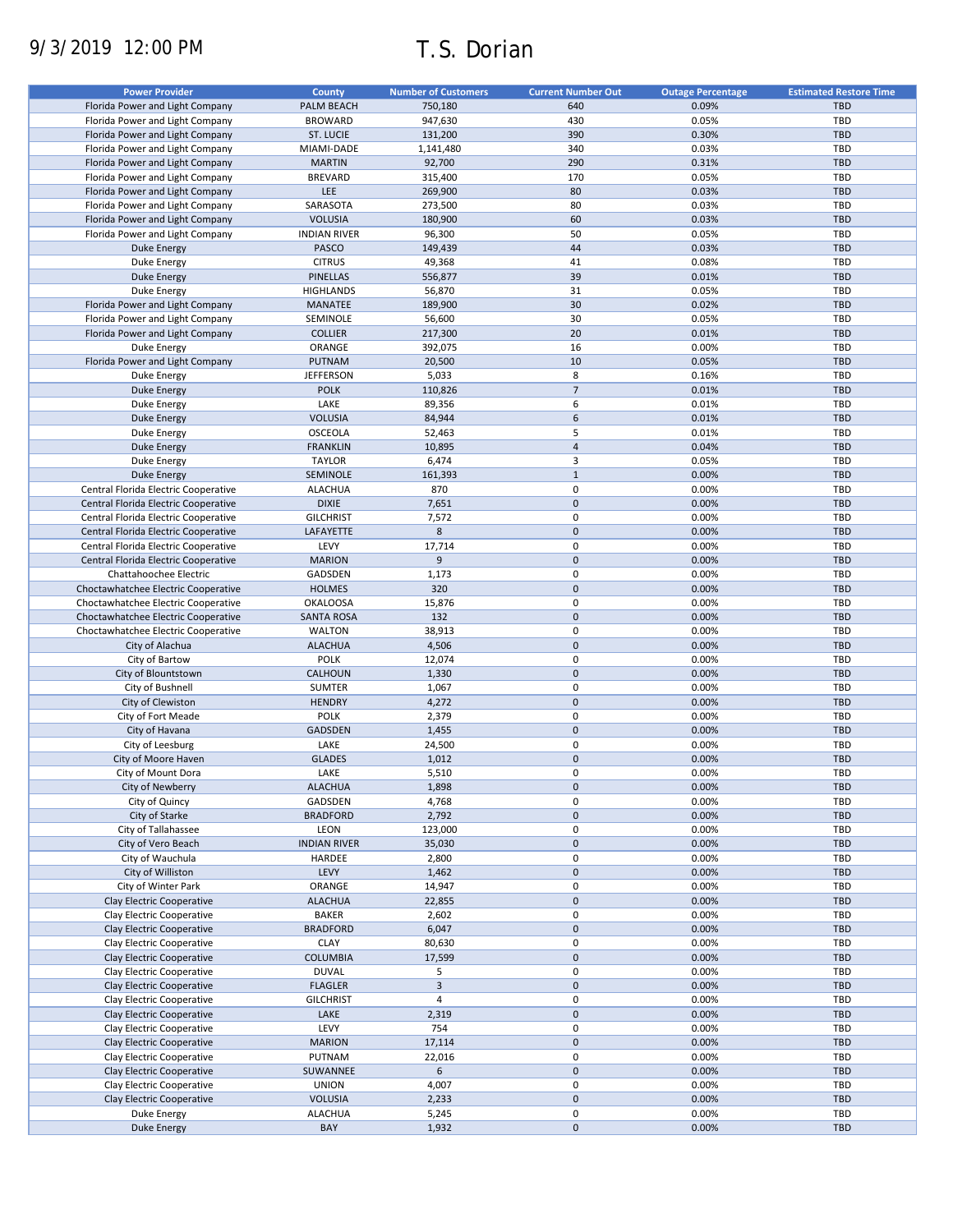# 9/3/2019 12:00 PM T.S. Dorian

| <b>Power Provider</b>                | <b>County</b>       | <b>Number of Customers</b> | <b>Current Number Out</b> | <b>Outage Percentage</b> | <b>Estimated Restore Time</b> |
|--------------------------------------|---------------------|----------------------------|---------------------------|--------------------------|-------------------------------|
| Florida Power and Light Company      | PALM BEACH          | 750,180                    | 640                       | 0.09%                    | <b>TBD</b>                    |
|                                      | <b>BROWARD</b>      | 947,630                    | 430                       |                          | TBD                           |
| Florida Power and Light Company      |                     |                            |                           | 0.05%                    |                               |
| Florida Power and Light Company      | ST. LUCIE           | 131,200                    | 390                       | 0.30%                    | <b>TBD</b>                    |
| Florida Power and Light Company      | MIAMI-DADE          | 1,141,480                  | 340                       | 0.03%                    | TBD                           |
| Florida Power and Light Company      | <b>MARTIN</b>       | 92,700                     | 290                       | 0.31%                    | <b>TBD</b>                    |
| Florida Power and Light Company      | <b>BREVARD</b>      | 315,400                    | 170                       | 0.05%                    | TBD                           |
| Florida Power and Light Company      | LEE                 | 269,900                    | 80                        | 0.03%                    | <b>TBD</b>                    |
| Florida Power and Light Company      | SARASOTA            | 273,500                    | 80                        | 0.03%                    | <b>TBD</b>                    |
| Florida Power and Light Company      | <b>VOLUSIA</b>      | 180,900                    | 60                        | 0.03%                    | <b>TBD</b>                    |
| Florida Power and Light Company      | <b>INDIAN RIVER</b> | 96,300                     | 50                        | 0.05%                    | TBD                           |
| <b>Duke Energy</b>                   | PASCO               | 149,439                    | 44                        | 0.03%                    | <b>TBD</b>                    |
| Duke Energy                          | <b>CITRUS</b>       | 49,368                     | 41                        | 0.08%                    | TBD                           |
| <b>Duke Energy</b>                   | <b>PINELLAS</b>     | 556,877                    | 39                        | 0.01%                    | <b>TBD</b>                    |
| Duke Energy                          |                     |                            | 31                        | 0.05%                    | TBD                           |
|                                      | <b>HIGHLANDS</b>    | 56,870                     |                           |                          |                               |
| Florida Power and Light Company      | MANATEE             | 189,900                    | 30                        | 0.02%                    | <b>TBD</b>                    |
| Florida Power and Light Company      | SEMINOLE            | 56,600                     | 30                        | 0.05%                    | TBD                           |
| Florida Power and Light Company      | <b>COLLIER</b>      | 217,300                    | 20                        | 0.01%                    | <b>TBD</b>                    |
| Duke Energy                          | ORANGE              | 392,075                    | 16                        | 0.00%                    | TBD                           |
| Florida Power and Light Company      | PUTNAM              | 20,500                     | 10                        | 0.05%                    | TBD                           |
| Duke Energy                          | <b>JEFFERSON</b>    | 5,033                      | 8                         | 0.16%                    | <b>TBD</b>                    |
| <b>Duke Energy</b>                   | <b>POLK</b>         | 110,826                    | $\overline{7}$            | 0.01%                    | <b>TBD</b>                    |
| Duke Energy                          | LAKE                | 89,356                     | 6                         | 0.01%                    | <b>TBD</b>                    |
| <b>Duke Energy</b>                   | <b>VOLUSIA</b>      | 84,944                     | 6                         | 0.01%                    | <b>TBD</b>                    |
| Duke Energy                          | OSCEOLA             | 52,463                     | 5                         | 0.01%                    | <b>TBD</b>                    |
|                                      |                     |                            |                           |                          |                               |
| <b>Duke Energy</b>                   | <b>FRANKLIN</b>     | 10,895                     | $\overline{\mathbf{4}}$   | 0.04%                    | <b>TBD</b>                    |
| Duke Energy                          | <b>TAYLOR</b>       | 6,474                      | 3                         | 0.05%                    | TBD                           |
| <b>Duke Energy</b>                   | SEMINOLE            | 161,393                    | $\mathbf 1$               | 0.00%                    | <b>TBD</b>                    |
| Central Florida Electric Cooperative | <b>ALACHUA</b>      | 870                        | 0                         | 0.00%                    | TBD                           |
| Central Florida Electric Cooperative | <b>DIXIE</b>        | 7,651                      | $\pmb{0}$                 | 0.00%                    | <b>TBD</b>                    |
| Central Florida Electric Cooperative | <b>GILCHRIST</b>    | 7,572                      | $\mathbf 0$               | 0.00%                    | <b>TBD</b>                    |
| Central Florida Electric Cooperative | LAFAYETTE           | 8                          | $\mathbf 0$               | 0.00%                    | <b>TBD</b>                    |
| Central Florida Electric Cooperative | LEVY                | 17,714                     | 0                         | 0.00%                    | TBD                           |
| Central Florida Electric Cooperative | <b>MARION</b>       | 9                          | $\mathbf 0$               | 0.00%                    | <b>TBD</b>                    |
| Chattahoochee Electric               | GADSDEN             | 1,173                      | 0                         | 0.00%                    | TBD                           |
|                                      | <b>HOLMES</b>       | 320                        | $\mathbf 0$               | 0.00%                    | <b>TBD</b>                    |
| Choctawhatchee Electric Cooperative  |                     |                            |                           |                          |                               |
| Choctawhatchee Electric Cooperative  | <b>OKALOOSA</b>     | 15,876                     | 0                         | 0.00%                    | TBD                           |
| Choctawhatchee Electric Cooperative  | <b>SANTA ROSA</b>   | 132                        | $\mathbf 0$               | 0.00%                    | <b>TBD</b>                    |
| Choctawhatchee Electric Cooperative  | <b>WALTON</b>       | 38,913                     | $\pmb{0}$                 | 0.00%                    | <b>TBD</b>                    |
| City of Alachua                      | <b>ALACHUA</b>      | 4,506                      | $\mathbf 0$               | 0.00%                    | <b>TBD</b>                    |
| City of Bartow                       | POLK                | 12,074                     | $\pmb{0}$                 | 0.00%                    | TBD                           |
| City of Blountstown                  | CALHOUN             | 1,330                      | $\mathbf 0$               | 0.00%                    | TBD                           |
| City of Bushnell                     | <b>SUMTER</b>       | 1,067                      | 0                         | 0.00%                    | TBD                           |
| City of Clewiston                    | <b>HENDRY</b>       | 4,272                      | $\pmb{0}$                 | 0.00%                    | <b>TBD</b>                    |
| City of Fort Meade                   | <b>POLK</b>         | 2,379                      | 0                         | 0.00%                    | TBD                           |
| City of Havana                       | GADSDEN             | 1,455                      | $\pmb{0}$                 | 0.00%                    | <b>TBD</b>                    |
| City of Leesburg                     | LAKE                | 24,500                     | 0                         | 0.00%                    | <b>TBD</b>                    |
|                                      | <b>GLADES</b>       |                            | $\pmb{0}$                 | 0.00%                    | <b>TBD</b>                    |
| City of Moore Haven                  |                     | 1,012                      |                           |                          |                               |
| City of Mount Dora                   | LAKE                | 5,510                      | $\mathbf 0$               | 0.00%                    | TBD                           |
| City of Newberry                     | <b>ALACHUA</b>      | 1,898                      | $\pmb{0}$                 | 0.00%                    | TBD                           |
| City of Quincy                       | GADSDEN             | 4,768                      | 0                         | 0.00%                    | TBD                           |
| City of Starke                       | <b>BRADFORD</b>     | 2,792                      | $\pmb{0}$                 | 0.00%                    | <b>TBD</b>                    |
| City of Tallahassee                  | LEON                | 123,000                    | 0                         | 0.00%                    | TBD                           |
| City of Vero Beach                   | <b>INDIAN RIVER</b> | 35,030                     | $\pmb{0}$                 | 0.00%                    | TBD                           |
| City of Wauchula                     | HARDEE              | 2,800                      | 0                         | 0.00%                    | TBD                           |
| City of Williston                    | LEVY                | 1,462                      | $\pmb{0}$                 | 0.00%                    | TBD                           |
| City of Winter Park                  | ORANGE              | 14,947                     | 0                         | 0.00%                    | TBD                           |
| Clay Electric Cooperative            | <b>ALACHUA</b>      | 22,855                     | 0                         | 0.00%                    | <b>TBD</b>                    |
| Clay Electric Cooperative            | <b>BAKER</b>        | 2,602                      | 0                         | 0.00%                    | TBD                           |
| Clay Electric Cooperative            | <b>BRADFORD</b>     | 6,047                      | $\pmb{0}$                 | 0.00%                    | <b>TBD</b>                    |
|                                      |                     |                            |                           |                          |                               |
| Clay Electric Cooperative            | <b>CLAY</b>         | 80,630                     | 0                         | 0.00%                    | TBD                           |
| Clay Electric Cooperative            | COLUMBIA            | 17,599                     | $\pmb{0}$                 | 0.00%                    | TBD                           |
| Clay Electric Cooperative            | <b>DUVAL</b>        | 5                          | 0                         | 0.00%                    | TBD                           |
| Clay Electric Cooperative            | <b>FLAGLER</b>      | $\overline{3}$             | $\pmb{0}$                 | 0.00%                    | <b>TBD</b>                    |
| Clay Electric Cooperative            | <b>GILCHRIST</b>    | 4                          | 0                         | 0.00%                    | TBD                           |
| Clay Electric Cooperative            | LAKE                | 2,319                      | $\pmb{0}$                 | 0.00%                    | <b>TBD</b>                    |
| Clay Electric Cooperative            | LEVY                | 754                        | 0                         | 0.00%                    | TBD                           |
| Clay Electric Cooperative            | <b>MARION</b>       | 17,114                     | $\pmb{0}$                 | 0.00%                    | TBD                           |
| Clay Electric Cooperative            | PUTNAM              | 22,016                     | $\mathbf 0$               | 0.00%                    | TBD                           |
| Clay Electric Cooperative            | SUWANNEE            | 6                          | $\pmb{0}$                 | 0.00%                    | <b>TBD</b>                    |
|                                      |                     |                            | $\mathbf 0$               |                          |                               |
| Clay Electric Cooperative            | <b>UNION</b>        | 4,007                      |                           | 0.00%                    | TBD                           |
| Clay Electric Cooperative            | <b>VOLUSIA</b>      | 2,233                      | $\pmb{0}$                 | 0.00%                    | <b>TBD</b>                    |
| Duke Energy                          | <b>ALACHUA</b>      | 5,245                      | $\pmb{0}$                 | 0.00%                    | TBD                           |
| <b>Duke Energy</b>                   | BAY                 | 1,932                      | $\pmb{0}$                 | 0.00%                    | TBD                           |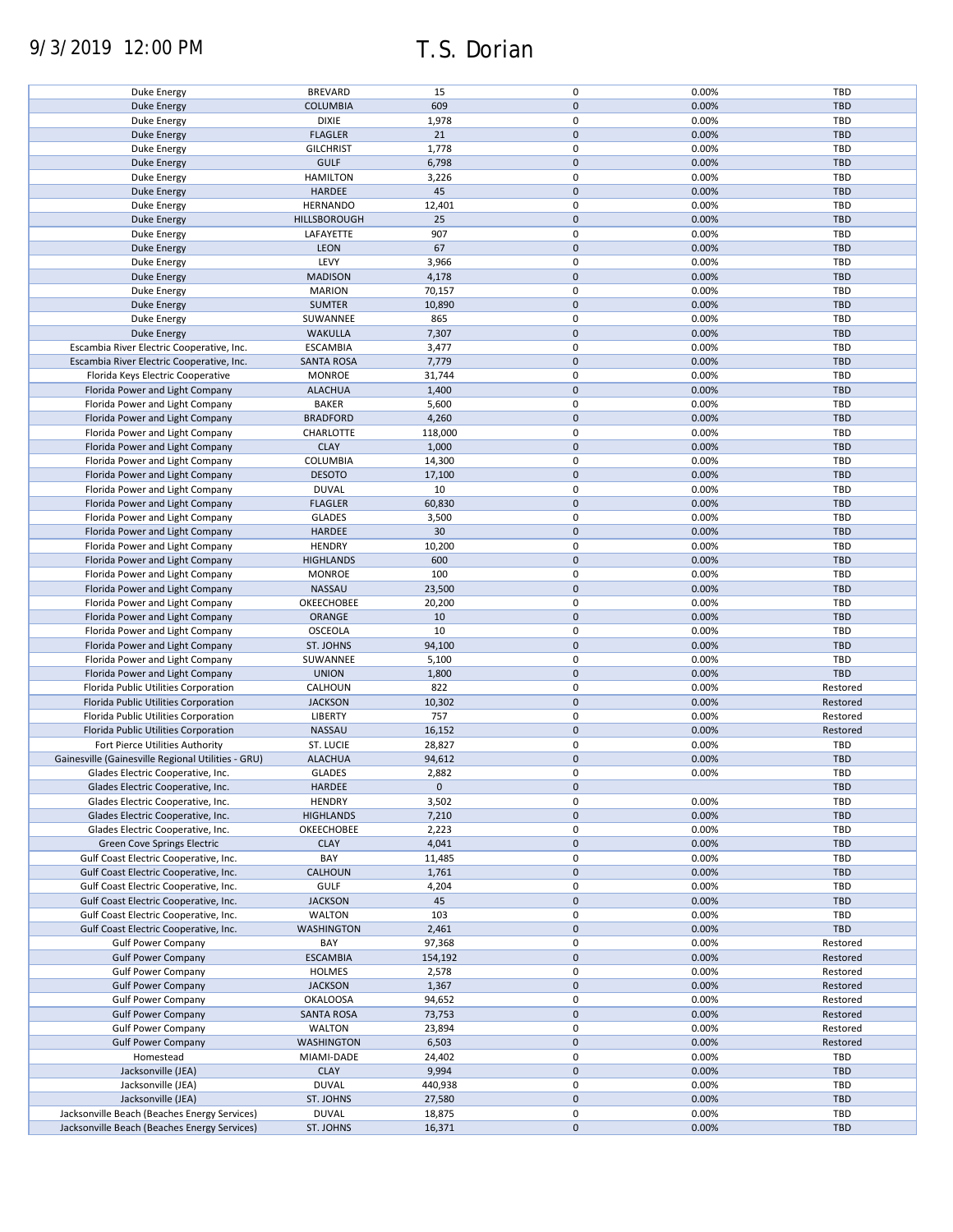# 9/3/2019 12:00 PM T.S. Dorian

| Duke Energy                                                                                  | <b>BREVARD</b>            | 15               | 0              | 0.00%          | TBD               |
|----------------------------------------------------------------------------------------------|---------------------------|------------------|----------------|----------------|-------------------|
| <b>Duke Energy</b>                                                                           | <b>COLUMBIA</b>           | 609              | $\mathbf 0$    | 0.00%          | <b>TBD</b>        |
| Duke Energy                                                                                  | <b>DIXIE</b>              | 1,978            | 0              | 0.00%          | TBD               |
| <b>Duke Energy</b>                                                                           | <b>FLAGLER</b>            | 21               | $\mathbf 0$    | 0.00%          | <b>TBD</b>        |
| Duke Energy                                                                                  | <b>GILCHRIST</b>          | 1,778            | 0              | 0.00%          | TBD               |
| <b>Duke Energy</b>                                                                           | <b>GULF</b>               | 6,798            | $\mathbf 0$    | 0.00%          | <b>TBD</b>        |
|                                                                                              |                           |                  |                |                |                   |
| Duke Energy                                                                                  | <b>HAMILTON</b>           | 3,226            | 0              | 0.00%          | TBD               |
| <b>Duke Energy</b>                                                                           | HARDEE                    | 45               | $\pmb{0}$      | 0.00%          | <b>TBD</b>        |
| Duke Energy                                                                                  | <b>HERNANDO</b>           | 12,401           | $\mathbf 0$    | 0.00%          | TBD               |
| <b>Duke Energy</b>                                                                           | <b>HILLSBOROUGH</b>       | 25               | $\pmb{0}$      | 0.00%          | <b>TBD</b>        |
| Duke Energy                                                                                  | LAFAYETTE                 | 907              | $\mathbf 0$    | 0.00%          | <b>TBD</b>        |
| <b>Duke Energy</b>                                                                           | LEON                      | 67               | $\mathbf 0$    | 0.00%          | <b>TBD</b>        |
| Duke Energy                                                                                  | LEVY                      | 3,966            | $\mathbf 0$    | 0.00%          | TBD               |
|                                                                                              |                           |                  | $\mathbf 0$    |                |                   |
| <b>Duke Energy</b>                                                                           | <b>MADISON</b>            | 4,178            |                | 0.00%          | <b>TBD</b>        |
| Duke Energy                                                                                  | <b>MARION</b>             | 70,157           | 0              | 0.00%          | <b>TBD</b>        |
| <b>Duke Energy</b>                                                                           | <b>SUMTER</b>             | 10,890           | $\mathbf 0$    | 0.00%          | <b>TBD</b>        |
| Duke Energy                                                                                  | SUWANNEE                  | 865              | $\pmb{0}$      | 0.00%          | TBD               |
| <b>Duke Energy</b>                                                                           | <b>WAKULLA</b>            | 7,307            | $\mathbf 0$    | 0.00%          | <b>TBD</b>        |
| Escambia River Electric Cooperative, Inc.                                                    | <b>ESCAMBIA</b>           | 3,477            | $\pmb{0}$      | 0.00%          | <b>TBD</b>        |
| Escambia River Electric Cooperative, Inc.                                                    | <b>SANTA ROSA</b>         | 7,779            | $\pmb{0}$      | 0.00%          | TBD               |
|                                                                                              |                           |                  |                |                |                   |
| Florida Keys Electric Cooperative                                                            | <b>MONROE</b>             | 31,744           | 0              | 0.00%          | <b>TBD</b>        |
| Florida Power and Light Company                                                              | <b>ALACHUA</b>            | 1,400            | $\pmb{0}$      | 0.00%          | <b>TBD</b>        |
| Florida Power and Light Company                                                              | <b>BAKER</b>              | 5,600            | 0              | 0.00%          | <b>TBD</b>        |
| Florida Power and Light Company                                                              | <b>BRADFORD</b>           | 4,260            | $\pmb{0}$      | 0.00%          | <b>TBD</b>        |
| Florida Power and Light Company                                                              | CHARLOTTE                 | 118,000          | $\mathbf 0$    | 0.00%          | <b>TBD</b>        |
| Florida Power and Light Company                                                              | <b>CLAY</b>               | 1,000            | $\mathbf 0$    | 0.00%          | <b>TBD</b>        |
| Florida Power and Light Company                                                              | COLUMBIA                  | 14,300           | 0              | 0.00%          | TBD               |
| Florida Power and Light Company                                                              |                           |                  | $\mathbf 0$    |                |                   |
|                                                                                              | <b>DESOTO</b>             | 17,100           |                | 0.00%          | <b>TBD</b>        |
| Florida Power and Light Company                                                              | <b>DUVAL</b>              | 10               | 0              | 0.00%          | TBD               |
| Florida Power and Light Company                                                              | <b>FLAGLER</b>            | 60,830           | $\pmb{0}$      | 0.00%          | <b>TBD</b>        |
| Florida Power and Light Company                                                              | <b>GLADES</b>             | 3,500            | 0              | 0.00%          | TBD               |
| Florida Power and Light Company                                                              | HARDEE                    | 30 <sup>°</sup>  | $\pmb{0}$      | 0.00%          | <b>TBD</b>        |
| Florida Power and Light Company                                                              | <b>HENDRY</b>             | 10,200           | 0              | 0.00%          | TBD               |
| Florida Power and Light Company                                                              | <b>HIGHLANDS</b>          | 600              | $\pmb{0}$      | 0.00%          | <b>TBD</b>        |
|                                                                                              |                           |                  | 0              | 0.00%          | TBD               |
| Florida Power and Light Company                                                              | <b>MONROE</b>             | 100              |                |                |                   |
| Florida Power and Light Company                                                              | NASSAU                    | 23,500           | $\mathbf 0$    | 0.00%          | <b>TBD</b>        |
| Florida Power and Light Company                                                              | OKEECHOBEE                | 20,200           | $\pmb{0}$      | 0.00%          | TBD               |
| Florida Power and Light Company                                                              | ORANGE                    | 10               | $\pmb{0}$      | 0.00%          | <b>TBD</b>        |
| Florida Power and Light Company                                                              | <b>OSCEOLA</b>            | 10               | 0              | 0.00%          | TBD               |
| Florida Power and Light Company                                                              | ST. JOHNS                 | 94,100           | $\pmb{0}$      | 0.00%          | <b>TBD</b>        |
| Florida Power and Light Company                                                              | SUWANNEE                  | 5,100            | 0              | 0.00%          | <b>TBD</b>        |
| Florida Power and Light Company                                                              | <b>UNION</b>              | 1,800            | $\mathbf 0$    | 0.00%          | <b>TBD</b>        |
|                                                                                              |                           |                  |                |                |                   |
| Florida Public Utilities Corporation                                                         | CALHOUN                   | 822              | 0              | 0.00%          | Restored          |
| Florida Public Utilities Corporation                                                         | <b>JACKSON</b>            | 10,302           | $\mathbf 0$    | 0.00%          | Restored          |
| Florida Public Utilities Corporation                                                         | <b>LIBERTY</b>            | 757              | 0              | 0.00%          | Restored          |
| Florida Public Utilities Corporation                                                         | NASSAU                    | 16,152           | $\mathbf 0$    | 0.00%          | Restored          |
| Fort Pierce Utilities Authority                                                              | <b>ST. LUCIE</b>          | 28,827           | 0              | 0.00%          | <b>TBD</b>        |
| Gainesville (Gainesville Regional Utilities - GRU)                                           | <b>ALACHUA</b>            | 94,612           | $\pmb{0}$      | 0.00%          | <b>TBD</b>        |
|                                                                                              | <b>GLADES</b>             | 2,882            | $\mathbf 0$    | 0.00%          | TBD               |
| Glades Electric Cooperative, Inc.                                                            |                           | $\mathbf 0$      | $\pmb{0}$      |                |                   |
| Glades Electric Cooperative, Inc.                                                            | HARDEE                    |                  |                |                | <b>TBD</b>        |
| Glades Electric Cooperative, Inc.                                                            | <b>HENDRY</b>             | 3,502            | 0              | 0.00%          | TBD               |
| Glades Electric Cooperative, Inc.                                                            | <b>HIGHLANDS</b>          | 7,210            | $\mathbf 0$    | 0.00%          | <b>TBD</b>        |
| Glades Electric Cooperative, Inc.                                                            | OKEECHOBEE                | 2,223            | 0              | 0.00%          | TBD               |
| <b>Green Cove Springs Electric</b>                                                           | <b>CLAY</b>               | 4,041            | $\pmb{0}$      | 0.00%          | <b>TBD</b>        |
| Gulf Coast Electric Cooperative, Inc.                                                        | BAY                       | 11,485           | 0              | 0.00%          | TBD               |
| Gulf Coast Electric Cooperative, Inc.                                                        | <b>CALHOUN</b>            | 1,761            | $\pmb{0}$      | 0.00%          | <b>TBD</b>        |
|                                                                                              |                           |                  |                |                |                   |
| Gulf Coast Electric Cooperative, Inc.                                                        | <b>GULF</b>               | 4,204            | $\pmb{0}$      | 0.00%          | TBD               |
| Gulf Coast Electric Cooperative, Inc.                                                        | <b>JACKSON</b>            | 45               | $\pmb{0}$      | 0.00%          | <b>TBD</b>        |
| Gulf Coast Electric Cooperative, Inc.                                                        | <b>WALTON</b>             | 103              | 0              | 0.00%          | TBD               |
| Gulf Coast Electric Cooperative, Inc.                                                        | <b>WASHINGTON</b>         | 2,461            | $\mathbf 0$    | 0.00%          | <b>TBD</b>        |
| <b>Gulf Power Company</b>                                                                    | BAY                       | 97,368           | 0              | 0.00%          | Restored          |
| <b>Gulf Power Company</b>                                                                    | <b>ESCAMBIA</b>           | 154,192          | $\pmb{0}$      | 0.00%          | Restored          |
| <b>Gulf Power Company</b>                                                                    | <b>HOLMES</b>             | 2,578            | 0              | 0.00%          | Restored          |
| <b>Gulf Power Company</b>                                                                    | <b>JACKSON</b>            | 1,367            | $\pmb{0}$      | 0.00%          | Restored          |
|                                                                                              |                           |                  |                |                |                   |
| <b>Gulf Power Company</b>                                                                    | <b>OKALOOSA</b>           | 94,652           | 0              | 0.00%          | Restored          |
| <b>Gulf Power Company</b>                                                                    | <b>SANTA ROSA</b>         | 73,753           | $\pmb{0}$      | 0.00%          | Restored          |
| <b>Gulf Power Company</b>                                                                    | <b>WALTON</b>             | 23,894           | 0              | 0.00%          | Restored          |
| <b>Gulf Power Company</b>                                                                    | <b>WASHINGTON</b>         | 6,503            | $\pmb{0}$      | 0.00%          | Restored          |
| Homestead                                                                                    | MIAMI-DADE                | 24,402           | 0              | 0.00%          | TBD               |
| Jacksonville (JEA)                                                                           |                           |                  | $\pmb{0}$      | 0.00%          | <b>TBD</b>        |
|                                                                                              |                           |                  |                |                |                   |
|                                                                                              | <b>CLAY</b>               | 9,994            |                |                |                   |
| Jacksonville (JEA)                                                                           | <b>DUVAL</b>              | 440,938          | 0              | 0.00%          | TBD               |
| Jacksonville (JEA)                                                                           | ST. JOHNS                 | 27,580           | $\pmb{0}$      | 0.00%          | <b>TBD</b>        |
| Jacksonville Beach (Beaches Energy Services)<br>Jacksonville Beach (Beaches Energy Services) | <b>DUVAL</b><br>ST. JOHNS | 18,875<br>16,371 | 0<br>$\pmb{0}$ | 0.00%<br>0.00% | TBD<br><b>TBD</b> |